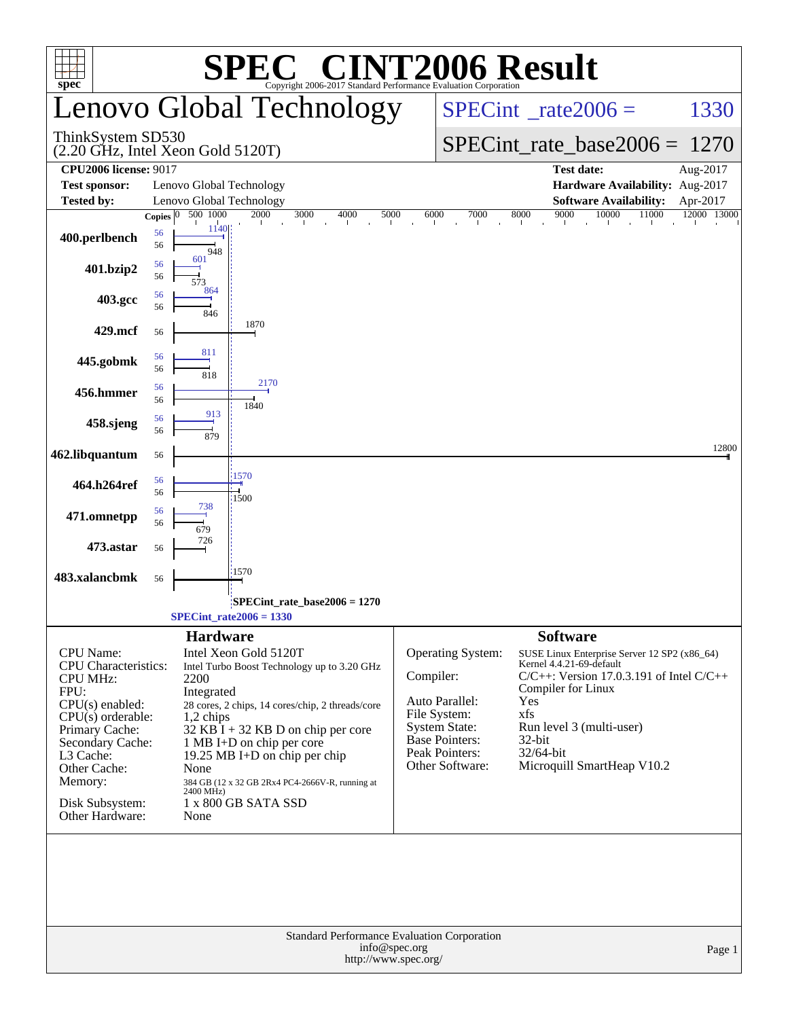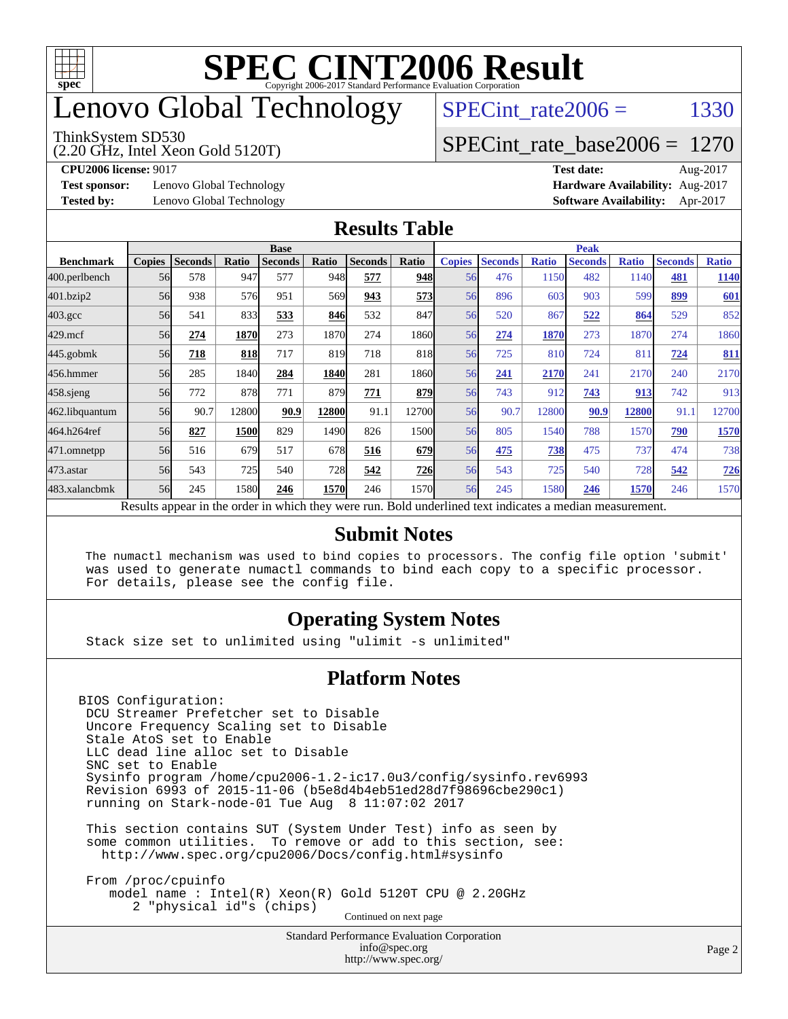

## enovo Global Technology

#### ThinkSystem SD530

(2.20 GHz, Intel Xeon Gold 5120T)

SPECint rate $2006 =$  1330

#### [SPECint\\_rate\\_base2006 =](http://www.spec.org/auto/cpu2006/Docs/result-fields.html#SPECintratebase2006) 1270

**[Test sponsor:](http://www.spec.org/auto/cpu2006/Docs/result-fields.html#Testsponsor)** Lenovo Global Technology **[Hardware Availability:](http://www.spec.org/auto/cpu2006/Docs/result-fields.html#HardwareAvailability)** Aug-2017

**[CPU2006 license:](http://www.spec.org/auto/cpu2006/Docs/result-fields.html#CPU2006license)** 9017 **[Test date:](http://www.spec.org/auto/cpu2006/Docs/result-fields.html#Testdate)** Aug-2017 **[Tested by:](http://www.spec.org/auto/cpu2006/Docs/result-fields.html#Testedby)** Lenovo Global Technology **[Software Availability:](http://www.spec.org/auto/cpu2006/Docs/result-fields.html#SoftwareAvailability)** Apr-2017

#### **[Results Table](http://www.spec.org/auto/cpu2006/Docs/result-fields.html#ResultsTable)**

|                    | <b>Base</b>   |                |       |                |       |                |            | <b>Peak</b>   |                |              |                                                                                                          |              |                |              |
|--------------------|---------------|----------------|-------|----------------|-------|----------------|------------|---------------|----------------|--------------|----------------------------------------------------------------------------------------------------------|--------------|----------------|--------------|
| <b>Benchmark</b>   | <b>Copies</b> | <b>Seconds</b> | Ratio | <b>Seconds</b> | Ratio | <b>Seconds</b> | Ratio      | <b>Copies</b> | <b>Seconds</b> | <b>Ratio</b> | <b>Seconds</b>                                                                                           | <b>Ratio</b> | <b>Seconds</b> | <b>Ratio</b> |
| 400.perlbench      | 56            | 578            | 947   | 577            | 948   | 577            | 948        | 56            | 476            | 1150         | 482                                                                                                      | 1140         | 481            | 1140         |
| 401.bzip2          | 56            | 938            | 576   | 951            | 569I  | 943            | 573        | 56            | 896            | 603          | 903                                                                                                      | 599          | 899            | 601          |
| $403.\mathrm{gcc}$ | 56            | 541            | 833   | 533            | 846   | 532            | 847        | 56            | 520            | 867          | 522                                                                                                      | 864          | 529            | 852          |
| $429$ .mcf         | 56            | 274            | 1870  | 273            | 1870  | 274            | 1860       | 56            | 274            | 1870         | 273                                                                                                      | 1870         | 274            | 1860         |
| $445$ .gobmk       | 56            | 718            | 818   | 717            | 819   | 718            | 818        | 56            | 725            | 810          | 724                                                                                                      | 81           | 724            | 811          |
| 456.hmmer          | 56            | 285            | 1840  | 284            | 1840  | 281            | 1860       | 56            | 241            | 2170         | 241                                                                                                      | 2170         | 240            | 2170         |
| $458$ .sjeng       | 56            | 772            | 878   | 771            | 879   | 771            | 879        | 56            | 743            | 912          | 743                                                                                                      | 913          | 742            | 913          |
| 462.libquantum     | 56            | 90.7           | 12800 | 90.9           | 12800 | 91.1           | 12700      | 56            | 90.7           | 12800        | 90.9                                                                                                     | 12800        | 91.1           | 12700        |
| 464.h264ref        | 56            | 827            | 1500  | 829            | 1490  | 826            | 1500       | 56            | 805            | 1540         | 788                                                                                                      | 1570         | 790            | 1570         |
| 471.omnetpp        | 56            | 516            | 679   | 517            | 678   | 516            | 679        | 56            | 475            | 738          | 475                                                                                                      | 737          | 474            | 738          |
| $473$ . astar      | 56            | 543            | 725   | 540            | 728   | 542            | <b>726</b> | 56            | 543            | 725          | 540                                                                                                      | 728          | 542            | 726          |
| 483.xalancbmk      | 56            | 245            | 1580  | 246            | 1570  | 246            | 1570       | 56            | 245            | 1580         | 246                                                                                                      | 1570         | 246            | 1570         |
|                    |               |                |       |                |       |                |            |               |                |              | Results appear in the order in which they were run. Bold underlined text indicates a median measurement. |              |                |              |

#### **[Submit Notes](http://www.spec.org/auto/cpu2006/Docs/result-fields.html#SubmitNotes)**

 The numactl mechanism was used to bind copies to processors. The config file option 'submit' was used to generate numactl commands to bind each copy to a specific processor. For details, please see the config file.

#### **[Operating System Notes](http://www.spec.org/auto/cpu2006/Docs/result-fields.html#OperatingSystemNotes)**

Stack size set to unlimited using "ulimit -s unlimited"

#### **[Platform Notes](http://www.spec.org/auto/cpu2006/Docs/result-fields.html#PlatformNotes)**

BIOS Configuration: DCU Streamer Prefetcher set to Disable Uncore Frequency Scaling set to Disable Stale AtoS set to Enable LLC dead line alloc set to Disable SNC set to Enable Sysinfo program /home/cpu2006-1.2-ic17.0u3/config/sysinfo.rev6993 Revision 6993 of 2015-11-06 (b5e8d4b4eb51ed28d7f98696cbe290c1) running on Stark-node-01 Tue Aug 8 11:07:02 2017

 This section contains SUT (System Under Test) info as seen by some common utilities. To remove or add to this section, see: <http://www.spec.org/cpu2006/Docs/config.html#sysinfo>

 From /proc/cpuinfo model name : Intel(R) Xeon(R) Gold 5120T CPU @ 2.20GHz 2 "physical id"s (chips) Continued on next page

> Standard Performance Evaluation Corporation [info@spec.org](mailto:info@spec.org) <http://www.spec.org/>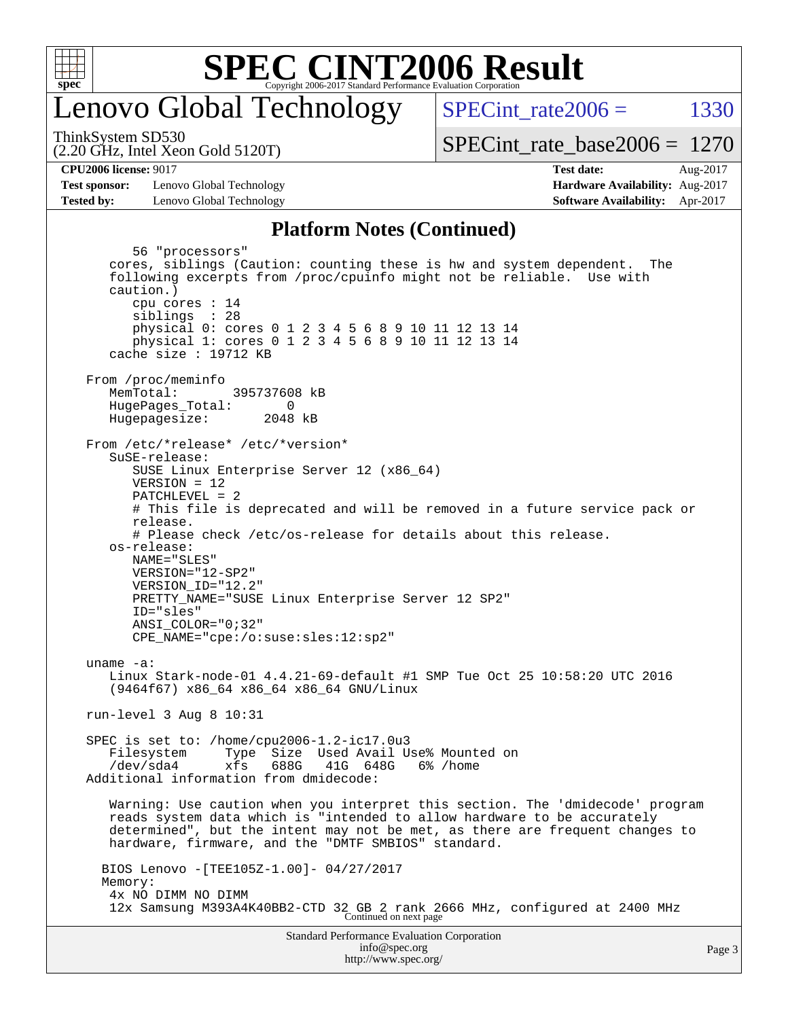

### enovo Global Technology

SPECint rate $2006 =$  1330

(2.20 GHz, Intel Xeon Gold 5120T) ThinkSystem SD530

[SPECint\\_rate\\_base2006 =](http://www.spec.org/auto/cpu2006/Docs/result-fields.html#SPECintratebase2006) 1270

**[CPU2006 license:](http://www.spec.org/auto/cpu2006/Docs/result-fields.html#CPU2006license)** 9017 **[Test date:](http://www.spec.org/auto/cpu2006/Docs/result-fields.html#Testdate)** Aug-2017

**[Test sponsor:](http://www.spec.org/auto/cpu2006/Docs/result-fields.html#Testsponsor)** Lenovo Global Technology **[Hardware Availability:](http://www.spec.org/auto/cpu2006/Docs/result-fields.html#HardwareAvailability)** Aug-2017 **[Tested by:](http://www.spec.org/auto/cpu2006/Docs/result-fields.html#Testedby)** Lenovo Global Technology **[Software Availability:](http://www.spec.org/auto/cpu2006/Docs/result-fields.html#SoftwareAvailability)** Apr-2017

#### **[Platform Notes \(Continued\)](http://www.spec.org/auto/cpu2006/Docs/result-fields.html#PlatformNotes)**

Standard Performance Evaluation Corporation [info@spec.org](mailto:info@spec.org) 56 "processors" cores, siblings (Caution: counting these is hw and system dependent. The following excerpts from /proc/cpuinfo might not be reliable. Use with caution.) cpu cores : 14 siblings : 28 physical 0: cores 0 1 2 3 4 5 6 8 9 10 11 12 13 14 physical 1: cores 0 1 2 3 4 5 6 8 9 10 11 12 13 14 cache size : 19712 KB From /proc/meminfo<br>MemTotal: 395737608 kB HugePages\_Total: 0<br>Hugepagesize: 2048 kB Hugepagesize: From /etc/\*release\* /etc/\*version\* SuSE-release: SUSE Linux Enterprise Server 12 (x86\_64) VERSION = 12 PATCHLEVEL = 2 # This file is deprecated and will be removed in a future service pack or release. # Please check /etc/os-release for details about this release. os-release: NAME="SLES" VERSION="12-SP2" VERSION\_ID="12.2" PRETTY\_NAME="SUSE Linux Enterprise Server 12 SP2" ID="sles" ANSI\_COLOR="0;32" CPE\_NAME="cpe:/o:suse:sles:12:sp2" uname -a: Linux Stark-node-01 4.4.21-69-default #1 SMP Tue Oct 25 10:58:20 UTC 2016 (9464f67) x86\_64 x86\_64 x86\_64 GNU/Linux run-level 3 Aug 8 10:31 SPEC is set to: /home/cpu2006-1.2-ic17.0u3 Filesystem Type Size Used Avail Use% Mounted on<br>
/dev/sda4 xfs 688G 41G 648G 6% /home  $xfs$  688G 41G 648G 6% /home Additional information from dmidecode: Warning: Use caution when you interpret this section. The 'dmidecode' program reads system data which is "intended to allow hardware to be accurately determined", but the intent may not be met, as there are frequent changes to hardware, firmware, and the "DMTF SMBIOS" standard. BIOS Lenovo -[TEE105Z-1.00]- 04/27/2017 Memory: 4x NO DIMM NO DIMM 12x Samsung M393A4K40BB2-CTD 32 GB 2 rank 2666 MHz, configured at 2400 MHz Continued on next page

<http://www.spec.org/>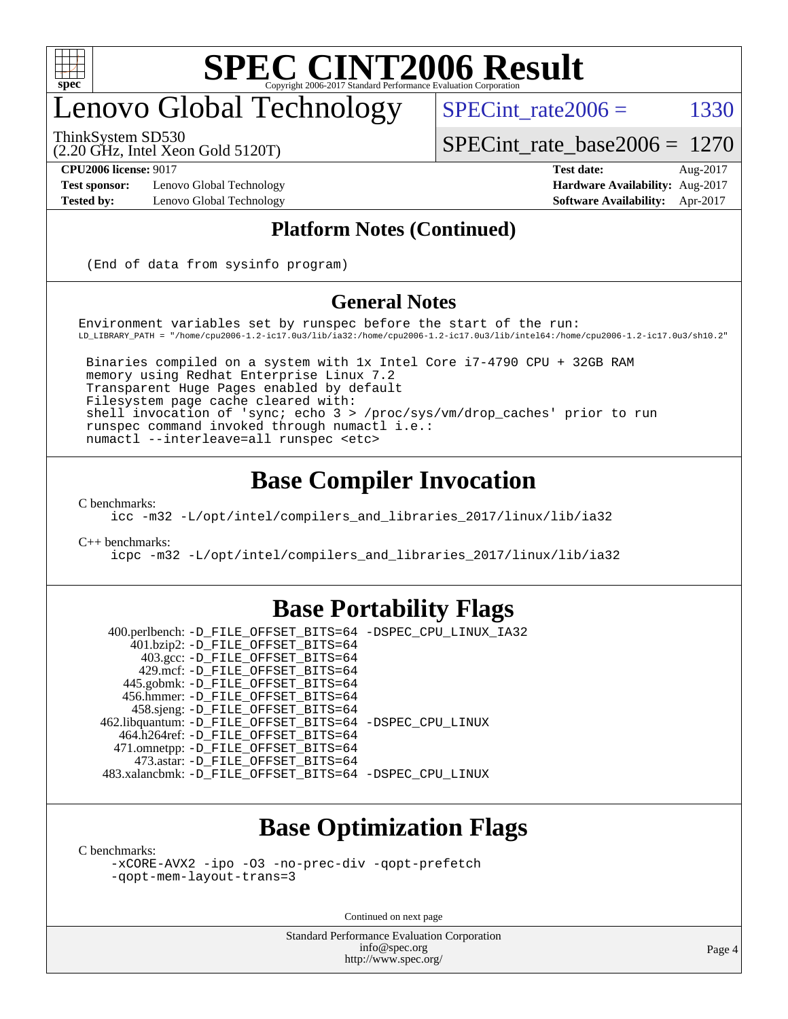

## enovo Global Technology

SPECint rate  $2006 = 1330$ 

ThinkSystem SD530

[SPECint\\_rate\\_base2006 =](http://www.spec.org/auto/cpu2006/Docs/result-fields.html#SPECintratebase2006) 1270

**[Test sponsor:](http://www.spec.org/auto/cpu2006/Docs/result-fields.html#Testsponsor)** Lenovo Global Technology **[Hardware Availability:](http://www.spec.org/auto/cpu2006/Docs/result-fields.html#HardwareAvailability)** Aug-2017

(2.20 GHz, Intel Xeon Gold 5120T)

**[CPU2006 license:](http://www.spec.org/auto/cpu2006/Docs/result-fields.html#CPU2006license)** 9017 **[Test date:](http://www.spec.org/auto/cpu2006/Docs/result-fields.html#Testdate)** Aug-2017 **[Tested by:](http://www.spec.org/auto/cpu2006/Docs/result-fields.html#Testedby)** Lenovo Global Technology **[Software Availability:](http://www.spec.org/auto/cpu2006/Docs/result-fields.html#SoftwareAvailability)** Apr-2017

#### **[Platform Notes \(Continued\)](http://www.spec.org/auto/cpu2006/Docs/result-fields.html#PlatformNotes)**

(End of data from sysinfo program)

#### **[General Notes](http://www.spec.org/auto/cpu2006/Docs/result-fields.html#GeneralNotes)**

Environment variables set by runspec before the start of the run: LD\_LIBRARY\_PATH = "/home/cpu2006-1.2-ic17.0u3/lib/ia32:/home/cpu2006-1.2-ic17.0u3/lib/intel64:/home/cpu2006-1.2-ic17.0u3/sh10.2"

 Binaries compiled on a system with 1x Intel Core i7-4790 CPU + 32GB RAM memory using Redhat Enterprise Linux 7.2 Transparent Huge Pages enabled by default Filesystem page cache cleared with: shell invocation of 'sync; echo 3 > /proc/sys/vm/drop\_caches' prior to run runspec command invoked through numactl i.e.: numactl --interleave=all runspec <etc>

#### **[Base Compiler Invocation](http://www.spec.org/auto/cpu2006/Docs/result-fields.html#BaseCompilerInvocation)**

[C benchmarks](http://www.spec.org/auto/cpu2006/Docs/result-fields.html#Cbenchmarks):

[icc -m32 -L/opt/intel/compilers\\_and\\_libraries\\_2017/linux/lib/ia32](http://www.spec.org/cpu2006/results/res2017q4/cpu2006-20170918-49627.flags.html#user_CCbase_intel_icc_c29f3ff5a7ed067b11e4ec10a03f03ae)

[C++ benchmarks:](http://www.spec.org/auto/cpu2006/Docs/result-fields.html#CXXbenchmarks)

[icpc -m32 -L/opt/intel/compilers\\_and\\_libraries\\_2017/linux/lib/ia32](http://www.spec.org/cpu2006/results/res2017q4/cpu2006-20170918-49627.flags.html#user_CXXbase_intel_icpc_8c35c7808b62dab9ae41a1aa06361b6b)

#### **[Base Portability Flags](http://www.spec.org/auto/cpu2006/Docs/result-fields.html#BasePortabilityFlags)**

 400.perlbench: [-D\\_FILE\\_OFFSET\\_BITS=64](http://www.spec.org/cpu2006/results/res2017q4/cpu2006-20170918-49627.flags.html#user_basePORTABILITY400_perlbench_file_offset_bits_64_438cf9856305ebd76870a2c6dc2689ab) [-DSPEC\\_CPU\\_LINUX\\_IA32](http://www.spec.org/cpu2006/results/res2017q4/cpu2006-20170918-49627.flags.html#b400.perlbench_baseCPORTABILITY_DSPEC_CPU_LINUX_IA32) 401.bzip2: [-D\\_FILE\\_OFFSET\\_BITS=64](http://www.spec.org/cpu2006/results/res2017q4/cpu2006-20170918-49627.flags.html#user_basePORTABILITY401_bzip2_file_offset_bits_64_438cf9856305ebd76870a2c6dc2689ab) 403.gcc: [-D\\_FILE\\_OFFSET\\_BITS=64](http://www.spec.org/cpu2006/results/res2017q4/cpu2006-20170918-49627.flags.html#user_basePORTABILITY403_gcc_file_offset_bits_64_438cf9856305ebd76870a2c6dc2689ab) 429.mcf: [-D\\_FILE\\_OFFSET\\_BITS=64](http://www.spec.org/cpu2006/results/res2017q4/cpu2006-20170918-49627.flags.html#user_basePORTABILITY429_mcf_file_offset_bits_64_438cf9856305ebd76870a2c6dc2689ab) 445.gobmk: [-D\\_FILE\\_OFFSET\\_BITS=64](http://www.spec.org/cpu2006/results/res2017q4/cpu2006-20170918-49627.flags.html#user_basePORTABILITY445_gobmk_file_offset_bits_64_438cf9856305ebd76870a2c6dc2689ab) 456.hmmer: [-D\\_FILE\\_OFFSET\\_BITS=64](http://www.spec.org/cpu2006/results/res2017q4/cpu2006-20170918-49627.flags.html#user_basePORTABILITY456_hmmer_file_offset_bits_64_438cf9856305ebd76870a2c6dc2689ab) 458.sjeng: [-D\\_FILE\\_OFFSET\\_BITS=64](http://www.spec.org/cpu2006/results/res2017q4/cpu2006-20170918-49627.flags.html#user_basePORTABILITY458_sjeng_file_offset_bits_64_438cf9856305ebd76870a2c6dc2689ab) 462.libquantum: [-D\\_FILE\\_OFFSET\\_BITS=64](http://www.spec.org/cpu2006/results/res2017q4/cpu2006-20170918-49627.flags.html#user_basePORTABILITY462_libquantum_file_offset_bits_64_438cf9856305ebd76870a2c6dc2689ab) [-DSPEC\\_CPU\\_LINUX](http://www.spec.org/cpu2006/results/res2017q4/cpu2006-20170918-49627.flags.html#b462.libquantum_baseCPORTABILITY_DSPEC_CPU_LINUX) 464.h264ref: [-D\\_FILE\\_OFFSET\\_BITS=64](http://www.spec.org/cpu2006/results/res2017q4/cpu2006-20170918-49627.flags.html#user_basePORTABILITY464_h264ref_file_offset_bits_64_438cf9856305ebd76870a2c6dc2689ab) 471.omnetpp: [-D\\_FILE\\_OFFSET\\_BITS=64](http://www.spec.org/cpu2006/results/res2017q4/cpu2006-20170918-49627.flags.html#user_basePORTABILITY471_omnetpp_file_offset_bits_64_438cf9856305ebd76870a2c6dc2689ab) 473.astar: [-D\\_FILE\\_OFFSET\\_BITS=64](http://www.spec.org/cpu2006/results/res2017q4/cpu2006-20170918-49627.flags.html#user_basePORTABILITY473_astar_file_offset_bits_64_438cf9856305ebd76870a2c6dc2689ab) 483.xalancbmk: [-D\\_FILE\\_OFFSET\\_BITS=64](http://www.spec.org/cpu2006/results/res2017q4/cpu2006-20170918-49627.flags.html#user_basePORTABILITY483_xalancbmk_file_offset_bits_64_438cf9856305ebd76870a2c6dc2689ab) [-DSPEC\\_CPU\\_LINUX](http://www.spec.org/cpu2006/results/res2017q4/cpu2006-20170918-49627.flags.html#b483.xalancbmk_baseCXXPORTABILITY_DSPEC_CPU_LINUX)

### **[Base Optimization Flags](http://www.spec.org/auto/cpu2006/Docs/result-fields.html#BaseOptimizationFlags)**

[C benchmarks](http://www.spec.org/auto/cpu2006/Docs/result-fields.html#Cbenchmarks):

[-xCORE-AVX2](http://www.spec.org/cpu2006/results/res2017q4/cpu2006-20170918-49627.flags.html#user_CCbase_f-xCORE-AVX2) [-ipo](http://www.spec.org/cpu2006/results/res2017q4/cpu2006-20170918-49627.flags.html#user_CCbase_f-ipo) [-O3](http://www.spec.org/cpu2006/results/res2017q4/cpu2006-20170918-49627.flags.html#user_CCbase_f-O3) [-no-prec-div](http://www.spec.org/cpu2006/results/res2017q4/cpu2006-20170918-49627.flags.html#user_CCbase_f-no-prec-div) [-qopt-prefetch](http://www.spec.org/cpu2006/results/res2017q4/cpu2006-20170918-49627.flags.html#user_CCbase_f-qopt-prefetch) [-qopt-mem-layout-trans=3](http://www.spec.org/cpu2006/results/res2017q4/cpu2006-20170918-49627.flags.html#user_CCbase_f-qopt-mem-layout-trans_170f5be61cd2cedc9b54468c59262d5d)

Continued on next page

Standard Performance Evaluation Corporation [info@spec.org](mailto:info@spec.org) <http://www.spec.org/>

Page 4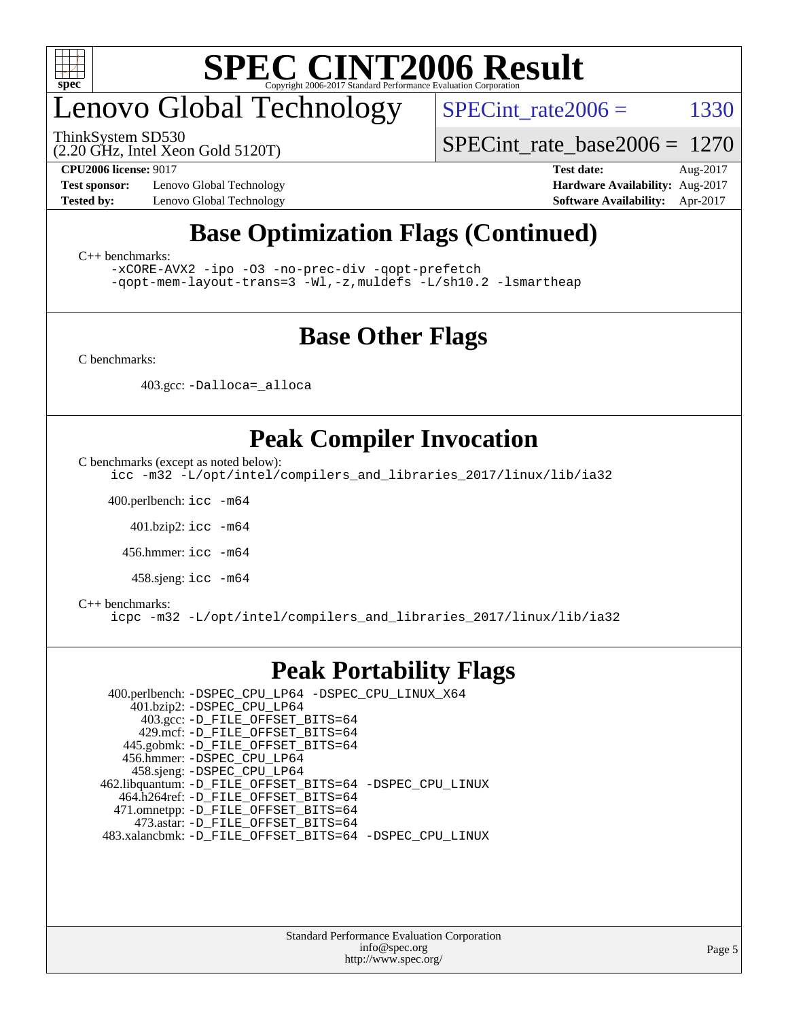

## enovo Global Technology

ThinkSystem SD530

SPECint rate  $2006 = 1330$ 

(2.20 GHz, Intel Xeon Gold 5120T)

[SPECint\\_rate\\_base2006 =](http://www.spec.org/auto/cpu2006/Docs/result-fields.html#SPECintratebase2006) 1270

**[Test sponsor:](http://www.spec.org/auto/cpu2006/Docs/result-fields.html#Testsponsor)** Lenovo Global Technology **[Hardware Availability:](http://www.spec.org/auto/cpu2006/Docs/result-fields.html#HardwareAvailability)** Aug-2017

**[CPU2006 license:](http://www.spec.org/auto/cpu2006/Docs/result-fields.html#CPU2006license)** 9017 **[Test date:](http://www.spec.org/auto/cpu2006/Docs/result-fields.html#Testdate)** Aug-2017 **[Tested by:](http://www.spec.org/auto/cpu2006/Docs/result-fields.html#Testedby)** Lenovo Global Technology **[Software Availability:](http://www.spec.org/auto/cpu2006/Docs/result-fields.html#SoftwareAvailability)** Apr-2017

### **[Base Optimization Flags \(Continued\)](http://www.spec.org/auto/cpu2006/Docs/result-fields.html#BaseOptimizationFlags)**

[C++ benchmarks:](http://www.spec.org/auto/cpu2006/Docs/result-fields.html#CXXbenchmarks)

[-xCORE-AVX2](http://www.spec.org/cpu2006/results/res2017q4/cpu2006-20170918-49627.flags.html#user_CXXbase_f-xCORE-AVX2) [-ipo](http://www.spec.org/cpu2006/results/res2017q4/cpu2006-20170918-49627.flags.html#user_CXXbase_f-ipo) [-O3](http://www.spec.org/cpu2006/results/res2017q4/cpu2006-20170918-49627.flags.html#user_CXXbase_f-O3) [-no-prec-div](http://www.spec.org/cpu2006/results/res2017q4/cpu2006-20170918-49627.flags.html#user_CXXbase_f-no-prec-div) [-qopt-prefetch](http://www.spec.org/cpu2006/results/res2017q4/cpu2006-20170918-49627.flags.html#user_CXXbase_f-qopt-prefetch) [-qopt-mem-layout-trans=3](http://www.spec.org/cpu2006/results/res2017q4/cpu2006-20170918-49627.flags.html#user_CXXbase_f-qopt-mem-layout-trans_170f5be61cd2cedc9b54468c59262d5d) [-Wl,-z,muldefs](http://www.spec.org/cpu2006/results/res2017q4/cpu2006-20170918-49627.flags.html#user_CXXbase_link_force_multiple1_74079c344b956b9658436fd1b6dd3a8a) [-L/sh10.2 -lsmartheap](http://www.spec.org/cpu2006/results/res2017q4/cpu2006-20170918-49627.flags.html#user_CXXbase_SmartHeap_b831f2d313e2fffa6dfe3f00ffc1f1c0)

### **[Base Other Flags](http://www.spec.org/auto/cpu2006/Docs/result-fields.html#BaseOtherFlags)**

[C benchmarks](http://www.spec.org/auto/cpu2006/Docs/result-fields.html#Cbenchmarks):

403.gcc: [-Dalloca=\\_alloca](http://www.spec.org/cpu2006/results/res2017q4/cpu2006-20170918-49627.flags.html#b403.gcc_baseEXTRA_CFLAGS_Dalloca_be3056838c12de2578596ca5467af7f3)

### **[Peak Compiler Invocation](http://www.spec.org/auto/cpu2006/Docs/result-fields.html#PeakCompilerInvocation)**

[C benchmarks \(except as noted below\)](http://www.spec.org/auto/cpu2006/Docs/result-fields.html#Cbenchmarksexceptasnotedbelow):

[icc -m32 -L/opt/intel/compilers\\_and\\_libraries\\_2017/linux/lib/ia32](http://www.spec.org/cpu2006/results/res2017q4/cpu2006-20170918-49627.flags.html#user_CCpeak_intel_icc_c29f3ff5a7ed067b11e4ec10a03f03ae)

400.perlbench: [icc -m64](http://www.spec.org/cpu2006/results/res2017q4/cpu2006-20170918-49627.flags.html#user_peakCCLD400_perlbench_intel_icc_64bit_bda6cc9af1fdbb0edc3795bac97ada53)

401.bzip2: [icc -m64](http://www.spec.org/cpu2006/results/res2017q4/cpu2006-20170918-49627.flags.html#user_peakCCLD401_bzip2_intel_icc_64bit_bda6cc9af1fdbb0edc3795bac97ada53)

456.hmmer: [icc -m64](http://www.spec.org/cpu2006/results/res2017q4/cpu2006-20170918-49627.flags.html#user_peakCCLD456_hmmer_intel_icc_64bit_bda6cc9af1fdbb0edc3795bac97ada53)

458.sjeng: [icc -m64](http://www.spec.org/cpu2006/results/res2017q4/cpu2006-20170918-49627.flags.html#user_peakCCLD458_sjeng_intel_icc_64bit_bda6cc9af1fdbb0edc3795bac97ada53)

#### [C++ benchmarks:](http://www.spec.org/auto/cpu2006/Docs/result-fields.html#CXXbenchmarks)

[icpc -m32 -L/opt/intel/compilers\\_and\\_libraries\\_2017/linux/lib/ia32](http://www.spec.org/cpu2006/results/res2017q4/cpu2006-20170918-49627.flags.html#user_CXXpeak_intel_icpc_8c35c7808b62dab9ae41a1aa06361b6b)

#### **[Peak Portability Flags](http://www.spec.org/auto/cpu2006/Docs/result-fields.html#PeakPortabilityFlags)**

 400.perlbench: [-DSPEC\\_CPU\\_LP64](http://www.spec.org/cpu2006/results/res2017q4/cpu2006-20170918-49627.flags.html#b400.perlbench_peakCPORTABILITY_DSPEC_CPU_LP64) [-DSPEC\\_CPU\\_LINUX\\_X64](http://www.spec.org/cpu2006/results/res2017q4/cpu2006-20170918-49627.flags.html#b400.perlbench_peakCPORTABILITY_DSPEC_CPU_LINUX_X64) 401.bzip2: [-DSPEC\\_CPU\\_LP64](http://www.spec.org/cpu2006/results/res2017q4/cpu2006-20170918-49627.flags.html#suite_peakCPORTABILITY401_bzip2_DSPEC_CPU_LP64) 403.gcc: [-D\\_FILE\\_OFFSET\\_BITS=64](http://www.spec.org/cpu2006/results/res2017q4/cpu2006-20170918-49627.flags.html#user_peakPORTABILITY403_gcc_file_offset_bits_64_438cf9856305ebd76870a2c6dc2689ab) 429.mcf: [-D\\_FILE\\_OFFSET\\_BITS=64](http://www.spec.org/cpu2006/results/res2017q4/cpu2006-20170918-49627.flags.html#user_peakPORTABILITY429_mcf_file_offset_bits_64_438cf9856305ebd76870a2c6dc2689ab) 445.gobmk: [-D\\_FILE\\_OFFSET\\_BITS=64](http://www.spec.org/cpu2006/results/res2017q4/cpu2006-20170918-49627.flags.html#user_peakPORTABILITY445_gobmk_file_offset_bits_64_438cf9856305ebd76870a2c6dc2689ab) 456.hmmer: [-DSPEC\\_CPU\\_LP64](http://www.spec.org/cpu2006/results/res2017q4/cpu2006-20170918-49627.flags.html#suite_peakCPORTABILITY456_hmmer_DSPEC_CPU_LP64) 458.sjeng: [-DSPEC\\_CPU\\_LP64](http://www.spec.org/cpu2006/results/res2017q4/cpu2006-20170918-49627.flags.html#suite_peakCPORTABILITY458_sjeng_DSPEC_CPU_LP64) 462.libquantum: [-D\\_FILE\\_OFFSET\\_BITS=64](http://www.spec.org/cpu2006/results/res2017q4/cpu2006-20170918-49627.flags.html#user_peakPORTABILITY462_libquantum_file_offset_bits_64_438cf9856305ebd76870a2c6dc2689ab) [-DSPEC\\_CPU\\_LINUX](http://www.spec.org/cpu2006/results/res2017q4/cpu2006-20170918-49627.flags.html#b462.libquantum_peakCPORTABILITY_DSPEC_CPU_LINUX) 464.h264ref: [-D\\_FILE\\_OFFSET\\_BITS=64](http://www.spec.org/cpu2006/results/res2017q4/cpu2006-20170918-49627.flags.html#user_peakPORTABILITY464_h264ref_file_offset_bits_64_438cf9856305ebd76870a2c6dc2689ab) 471.omnetpp: [-D\\_FILE\\_OFFSET\\_BITS=64](http://www.spec.org/cpu2006/results/res2017q4/cpu2006-20170918-49627.flags.html#user_peakPORTABILITY471_omnetpp_file_offset_bits_64_438cf9856305ebd76870a2c6dc2689ab) 473.astar: [-D\\_FILE\\_OFFSET\\_BITS=64](http://www.spec.org/cpu2006/results/res2017q4/cpu2006-20170918-49627.flags.html#user_peakPORTABILITY473_astar_file_offset_bits_64_438cf9856305ebd76870a2c6dc2689ab) 483.xalancbmk: [-D\\_FILE\\_OFFSET\\_BITS=64](http://www.spec.org/cpu2006/results/res2017q4/cpu2006-20170918-49627.flags.html#user_peakPORTABILITY483_xalancbmk_file_offset_bits_64_438cf9856305ebd76870a2c6dc2689ab) [-DSPEC\\_CPU\\_LINUX](http://www.spec.org/cpu2006/results/res2017q4/cpu2006-20170918-49627.flags.html#b483.xalancbmk_peakCXXPORTABILITY_DSPEC_CPU_LINUX)

> Standard Performance Evaluation Corporation [info@spec.org](mailto:info@spec.org) <http://www.spec.org/>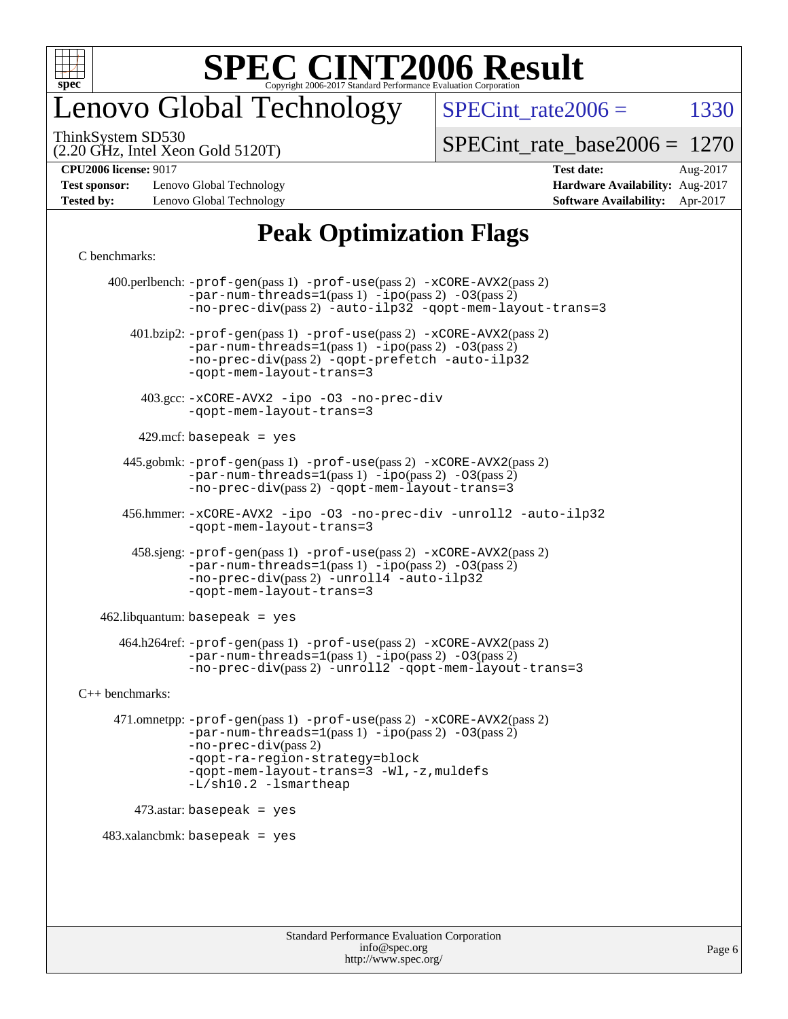

## enovo Global Technology

SPECint rate  $2006 = 1330$ 

(2.20 GHz, Intel Xeon Gold 5120T) ThinkSystem SD530

[SPECint\\_rate\\_base2006 =](http://www.spec.org/auto/cpu2006/Docs/result-fields.html#SPECintratebase2006) 1270

**[Test sponsor:](http://www.spec.org/auto/cpu2006/Docs/result-fields.html#Testsponsor)** Lenovo Global Technology **[Hardware Availability:](http://www.spec.org/auto/cpu2006/Docs/result-fields.html#HardwareAvailability)** Aug-2017 **[Tested by:](http://www.spec.org/auto/cpu2006/Docs/result-fields.html#Testedby)** Lenovo Global Technology **[Software Availability:](http://www.spec.org/auto/cpu2006/Docs/result-fields.html#SoftwareAvailability)** Apr-2017

**[CPU2006 license:](http://www.spec.org/auto/cpu2006/Docs/result-fields.html#CPU2006license)** 9017 **[Test date:](http://www.spec.org/auto/cpu2006/Docs/result-fields.html#Testdate)** Aug-2017

### **[Peak Optimization Flags](http://www.spec.org/auto/cpu2006/Docs/result-fields.html#PeakOptimizationFlags)**

#### [C benchmarks](http://www.spec.org/auto/cpu2006/Docs/result-fields.html#Cbenchmarks):

 400.perlbench: [-prof-gen](http://www.spec.org/cpu2006/results/res2017q4/cpu2006-20170918-49627.flags.html#user_peakPASS1_CFLAGSPASS1_LDCFLAGS400_perlbench_prof_gen_e43856698f6ca7b7e442dfd80e94a8fc)(pass 1) [-prof-use](http://www.spec.org/cpu2006/results/res2017q4/cpu2006-20170918-49627.flags.html#user_peakPASS2_CFLAGSPASS2_LDCFLAGS400_perlbench_prof_use_bccf7792157ff70d64e32fe3e1250b55)(pass 2) [-xCORE-AVX2](http://www.spec.org/cpu2006/results/res2017q4/cpu2006-20170918-49627.flags.html#user_peakPASS2_CFLAGSPASS2_LDCFLAGS400_perlbench_f-xCORE-AVX2)(pass 2)  $-par-num-threads=1(pass 1) -ipo(pass 2) -O3(pass 2)$  $-par-num-threads=1(pass 1) -ipo(pass 2) -O3(pass 2)$  $-par-num-threads=1(pass 1) -ipo(pass 2) -O3(pass 2)$  $-par-num-threads=1(pass 1) -ipo(pass 2) -O3(pass 2)$  $-par-num-threads=1(pass 1) -ipo(pass 2) -O3(pass 2)$  $-par-num-threads=1(pass 1) -ipo(pass 2) -O3(pass 2)$ [-no-prec-div](http://www.spec.org/cpu2006/results/res2017q4/cpu2006-20170918-49627.flags.html#user_peakPASS2_CFLAGSPASS2_LDCFLAGS400_perlbench_f-no-prec-div)(pass 2) [-auto-ilp32](http://www.spec.org/cpu2006/results/res2017q4/cpu2006-20170918-49627.flags.html#user_peakCOPTIMIZE400_perlbench_f-auto-ilp32) [-qopt-mem-layout-trans=3](http://www.spec.org/cpu2006/results/res2017q4/cpu2006-20170918-49627.flags.html#user_peakCOPTIMIZE400_perlbench_f-qopt-mem-layout-trans_170f5be61cd2cedc9b54468c59262d5d) 401.bzip2: [-prof-gen](http://www.spec.org/cpu2006/results/res2017q4/cpu2006-20170918-49627.flags.html#user_peakPASS1_CFLAGSPASS1_LDCFLAGS401_bzip2_prof_gen_e43856698f6ca7b7e442dfd80e94a8fc)(pass 1) [-prof-use](http://www.spec.org/cpu2006/results/res2017q4/cpu2006-20170918-49627.flags.html#user_peakPASS2_CFLAGSPASS2_LDCFLAGS401_bzip2_prof_use_bccf7792157ff70d64e32fe3e1250b55)(pass 2) [-xCORE-AVX2](http://www.spec.org/cpu2006/results/res2017q4/cpu2006-20170918-49627.flags.html#user_peakPASS2_CFLAGSPASS2_LDCFLAGS401_bzip2_f-xCORE-AVX2)(pass 2) [-par-num-threads=1](http://www.spec.org/cpu2006/results/res2017q4/cpu2006-20170918-49627.flags.html#user_peakPASS1_CFLAGSPASS1_LDCFLAGS401_bzip2_par_num_threads_786a6ff141b4e9e90432e998842df6c2)(pass 1) [-ipo](http://www.spec.org/cpu2006/results/res2017q4/cpu2006-20170918-49627.flags.html#user_peakPASS2_CFLAGSPASS2_LDCFLAGS401_bzip2_f-ipo)(pass 2) [-O3](http://www.spec.org/cpu2006/results/res2017q4/cpu2006-20170918-49627.flags.html#user_peakPASS2_CFLAGSPASS2_LDCFLAGS401_bzip2_f-O3)(pass 2) [-no-prec-div](http://www.spec.org/cpu2006/results/res2017q4/cpu2006-20170918-49627.flags.html#user_peakPASS2_CFLAGSPASS2_LDCFLAGS401_bzip2_f-no-prec-div)(pass 2) [-qopt-prefetch](http://www.spec.org/cpu2006/results/res2017q4/cpu2006-20170918-49627.flags.html#user_peakCOPTIMIZE401_bzip2_f-qopt-prefetch) [-auto-ilp32](http://www.spec.org/cpu2006/results/res2017q4/cpu2006-20170918-49627.flags.html#user_peakCOPTIMIZE401_bzip2_f-auto-ilp32) [-qopt-mem-layout-trans=3](http://www.spec.org/cpu2006/results/res2017q4/cpu2006-20170918-49627.flags.html#user_peakCOPTIMIZE401_bzip2_f-qopt-mem-layout-trans_170f5be61cd2cedc9b54468c59262d5d) 403.gcc: [-xCORE-AVX2](http://www.spec.org/cpu2006/results/res2017q4/cpu2006-20170918-49627.flags.html#user_peakOPTIMIZE403_gcc_f-xCORE-AVX2) [-ipo](http://www.spec.org/cpu2006/results/res2017q4/cpu2006-20170918-49627.flags.html#user_peakOPTIMIZE403_gcc_f-ipo) [-O3](http://www.spec.org/cpu2006/results/res2017q4/cpu2006-20170918-49627.flags.html#user_peakOPTIMIZE403_gcc_f-O3) [-no-prec-div](http://www.spec.org/cpu2006/results/res2017q4/cpu2006-20170918-49627.flags.html#user_peakOPTIMIZE403_gcc_f-no-prec-div) [-qopt-mem-layout-trans=3](http://www.spec.org/cpu2006/results/res2017q4/cpu2006-20170918-49627.flags.html#user_peakCOPTIMIZE403_gcc_f-qopt-mem-layout-trans_170f5be61cd2cedc9b54468c59262d5d)  $429$ .mcf: basepeak = yes 445.gobmk: [-prof-gen](http://www.spec.org/cpu2006/results/res2017q4/cpu2006-20170918-49627.flags.html#user_peakPASS1_CFLAGSPASS1_LDCFLAGS445_gobmk_prof_gen_e43856698f6ca7b7e442dfd80e94a8fc)(pass 1) [-prof-use](http://www.spec.org/cpu2006/results/res2017q4/cpu2006-20170918-49627.flags.html#user_peakPASS2_CFLAGSPASS2_LDCFLAGSPASS2_LDFLAGS445_gobmk_prof_use_bccf7792157ff70d64e32fe3e1250b55)(pass 2) [-xCORE-AVX2](http://www.spec.org/cpu2006/results/res2017q4/cpu2006-20170918-49627.flags.html#user_peakPASS2_CFLAGSPASS2_LDCFLAGSPASS2_LDFLAGS445_gobmk_f-xCORE-AVX2)(pass 2)  $-par-num-threads=1(pass 1) -ipo(pass 2) -O3(pass 2)$  $-par-num-threads=1(pass 1) -ipo(pass 2) -O3(pass 2)$  $-par-num-threads=1(pass 1) -ipo(pass 2) -O3(pass 2)$  $-par-num-threads=1(pass 1) -ipo(pass 2) -O3(pass 2)$  $-par-num-threads=1(pass 1) -ipo(pass 2) -O3(pass 2)$  $-par-num-threads=1(pass 1) -ipo(pass 2) -O3(pass 2)$ [-no-prec-div](http://www.spec.org/cpu2006/results/res2017q4/cpu2006-20170918-49627.flags.html#user_peakPASS2_LDCFLAGS445_gobmk_f-no-prec-div)(pass 2) [-qopt-mem-layout-trans=3](http://www.spec.org/cpu2006/results/res2017q4/cpu2006-20170918-49627.flags.html#user_peakCOPTIMIZE445_gobmk_f-qopt-mem-layout-trans_170f5be61cd2cedc9b54468c59262d5d) 456.hmmer: [-xCORE-AVX2](http://www.spec.org/cpu2006/results/res2017q4/cpu2006-20170918-49627.flags.html#user_peakOPTIMIZE456_hmmer_f-xCORE-AVX2) [-ipo](http://www.spec.org/cpu2006/results/res2017q4/cpu2006-20170918-49627.flags.html#user_peakOPTIMIZE456_hmmer_f-ipo) [-O3](http://www.spec.org/cpu2006/results/res2017q4/cpu2006-20170918-49627.flags.html#user_peakOPTIMIZE456_hmmer_f-O3) [-no-prec-div](http://www.spec.org/cpu2006/results/res2017q4/cpu2006-20170918-49627.flags.html#user_peakOPTIMIZE456_hmmer_f-no-prec-div) [-unroll2](http://www.spec.org/cpu2006/results/res2017q4/cpu2006-20170918-49627.flags.html#user_peakCOPTIMIZE456_hmmer_f-unroll_784dae83bebfb236979b41d2422d7ec2) [-auto-ilp32](http://www.spec.org/cpu2006/results/res2017q4/cpu2006-20170918-49627.flags.html#user_peakCOPTIMIZE456_hmmer_f-auto-ilp32) [-qopt-mem-layout-trans=3](http://www.spec.org/cpu2006/results/res2017q4/cpu2006-20170918-49627.flags.html#user_peakCOPTIMIZE456_hmmer_f-qopt-mem-layout-trans_170f5be61cd2cedc9b54468c59262d5d) 458.sjeng: [-prof-gen](http://www.spec.org/cpu2006/results/res2017q4/cpu2006-20170918-49627.flags.html#user_peakPASS1_CFLAGSPASS1_LDCFLAGS458_sjeng_prof_gen_e43856698f6ca7b7e442dfd80e94a8fc)(pass 1) [-prof-use](http://www.spec.org/cpu2006/results/res2017q4/cpu2006-20170918-49627.flags.html#user_peakPASS2_CFLAGSPASS2_LDCFLAGS458_sjeng_prof_use_bccf7792157ff70d64e32fe3e1250b55)(pass 2) [-xCORE-AVX2](http://www.spec.org/cpu2006/results/res2017q4/cpu2006-20170918-49627.flags.html#user_peakPASS2_CFLAGSPASS2_LDCFLAGS458_sjeng_f-xCORE-AVX2)(pass 2)  $-par-num-threads=1(pass 1) -ipo(pass 2) -O3(pass 2)$  $-par-num-threads=1(pass 1) -ipo(pass 2) -O3(pass 2)$  $-par-num-threads=1(pass 1) -ipo(pass 2) -O3(pass 2)$  $-par-num-threads=1(pass 1) -ipo(pass 2) -O3(pass 2)$  $-par-num-threads=1(pass 1) -ipo(pass 2) -O3(pass 2)$  $-par-num-threads=1(pass 1) -ipo(pass 2) -O3(pass 2)$ [-no-prec-div](http://www.spec.org/cpu2006/results/res2017q4/cpu2006-20170918-49627.flags.html#user_peakPASS2_CFLAGSPASS2_LDCFLAGS458_sjeng_f-no-prec-div)(pass 2) [-unroll4](http://www.spec.org/cpu2006/results/res2017q4/cpu2006-20170918-49627.flags.html#user_peakCOPTIMIZE458_sjeng_f-unroll_4e5e4ed65b7fd20bdcd365bec371b81f) [-auto-ilp32](http://www.spec.org/cpu2006/results/res2017q4/cpu2006-20170918-49627.flags.html#user_peakCOPTIMIZE458_sjeng_f-auto-ilp32) [-qopt-mem-layout-trans=3](http://www.spec.org/cpu2006/results/res2017q4/cpu2006-20170918-49627.flags.html#user_peakCOPTIMIZE458_sjeng_f-qopt-mem-layout-trans_170f5be61cd2cedc9b54468c59262d5d)  $462$ .libquantum: basepeak = yes 464.h264ref: [-prof-gen](http://www.spec.org/cpu2006/results/res2017q4/cpu2006-20170918-49627.flags.html#user_peakPASS1_CFLAGSPASS1_LDCFLAGS464_h264ref_prof_gen_e43856698f6ca7b7e442dfd80e94a8fc)(pass 1) [-prof-use](http://www.spec.org/cpu2006/results/res2017q4/cpu2006-20170918-49627.flags.html#user_peakPASS2_CFLAGSPASS2_LDCFLAGS464_h264ref_prof_use_bccf7792157ff70d64e32fe3e1250b55)(pass 2) [-xCORE-AVX2](http://www.spec.org/cpu2006/results/res2017q4/cpu2006-20170918-49627.flags.html#user_peakPASS2_CFLAGSPASS2_LDCFLAGS464_h264ref_f-xCORE-AVX2)(pass 2)  $-par-num-threads=1(pass 1) -ipo(pass 2) -O3(pass 2)$  $-par-num-threads=1(pass 1) -ipo(pass 2) -O3(pass 2)$  $-par-num-threads=1(pass 1) -ipo(pass 2) -O3(pass 2)$  $-par-num-threads=1(pass 1) -ipo(pass 2) -O3(pass 2)$  $-par-num-threads=1(pass 1) -ipo(pass 2) -O3(pass 2)$  $-par-num-threads=1(pass 1) -ipo(pass 2) -O3(pass 2)$ [-no-prec-div](http://www.spec.org/cpu2006/results/res2017q4/cpu2006-20170918-49627.flags.html#user_peakPASS2_CFLAGSPASS2_LDCFLAGS464_h264ref_f-no-prec-div)(pass 2) [-unroll2](http://www.spec.org/cpu2006/results/res2017q4/cpu2006-20170918-49627.flags.html#user_peakCOPTIMIZE464_h264ref_f-unroll_784dae83bebfb236979b41d2422d7ec2) [-qopt-mem-layout-trans=3](http://www.spec.org/cpu2006/results/res2017q4/cpu2006-20170918-49627.flags.html#user_peakCOPTIMIZE464_h264ref_f-qopt-mem-layout-trans_170f5be61cd2cedc9b54468c59262d5d) [C++ benchmarks:](http://www.spec.org/auto/cpu2006/Docs/result-fields.html#CXXbenchmarks) 471.omnetpp: [-prof-gen](http://www.spec.org/cpu2006/results/res2017q4/cpu2006-20170918-49627.flags.html#user_peakPASS1_CXXFLAGSPASS1_LDCXXFLAGS471_omnetpp_prof_gen_e43856698f6ca7b7e442dfd80e94a8fc)(pass 1) [-prof-use](http://www.spec.org/cpu2006/results/res2017q4/cpu2006-20170918-49627.flags.html#user_peakPASS2_CXXFLAGSPASS2_LDCXXFLAGS471_omnetpp_prof_use_bccf7792157ff70d64e32fe3e1250b55)(pass 2) [-xCORE-AVX2](http://www.spec.org/cpu2006/results/res2017q4/cpu2006-20170918-49627.flags.html#user_peakPASS2_CXXFLAGSPASS2_LDCXXFLAGS471_omnetpp_f-xCORE-AVX2)(pass 2)  $-par-num-threads=1(pass 1) -ipo(pass 2) -O3(pass 2)$  $-par-num-threads=1(pass 1) -ipo(pass 2) -O3(pass 2)$  $-par-num-threads=1(pass 1) -ipo(pass 2) -O3(pass 2)$  $-par-num-threads=1(pass 1) -ipo(pass 2) -O3(pass 2)$  $-par-num-threads=1(pass 1) -ipo(pass 2) -O3(pass 2)$  $-par-num-threads=1(pass 1) -ipo(pass 2) -O3(pass 2)$ [-no-prec-div](http://www.spec.org/cpu2006/results/res2017q4/cpu2006-20170918-49627.flags.html#user_peakPASS2_CXXFLAGSPASS2_LDCXXFLAGS471_omnetpp_f-no-prec-div)(pass 2) [-qopt-ra-region-strategy=block](http://www.spec.org/cpu2006/results/res2017q4/cpu2006-20170918-49627.flags.html#user_peakCXXOPTIMIZE471_omnetpp_f-qopt-ra-region-strategy_430aa8f7c220cbde92ae827fa8d9be32)  [-qopt-mem-layout-trans=3](http://www.spec.org/cpu2006/results/res2017q4/cpu2006-20170918-49627.flags.html#user_peakCXXOPTIMIZE471_omnetpp_f-qopt-mem-layout-trans_170f5be61cd2cedc9b54468c59262d5d) [-Wl,-z,muldefs](http://www.spec.org/cpu2006/results/res2017q4/cpu2006-20170918-49627.flags.html#user_peakEXTRA_LDFLAGS471_omnetpp_link_force_multiple1_74079c344b956b9658436fd1b6dd3a8a) [-L/sh10.2 -lsmartheap](http://www.spec.org/cpu2006/results/res2017q4/cpu2006-20170918-49627.flags.html#user_peakEXTRA_LIBS471_omnetpp_SmartHeap_b831f2d313e2fffa6dfe3f00ffc1f1c0) 473.astar: basepeak = yes  $483.xalanchmk: basepeak = yes$